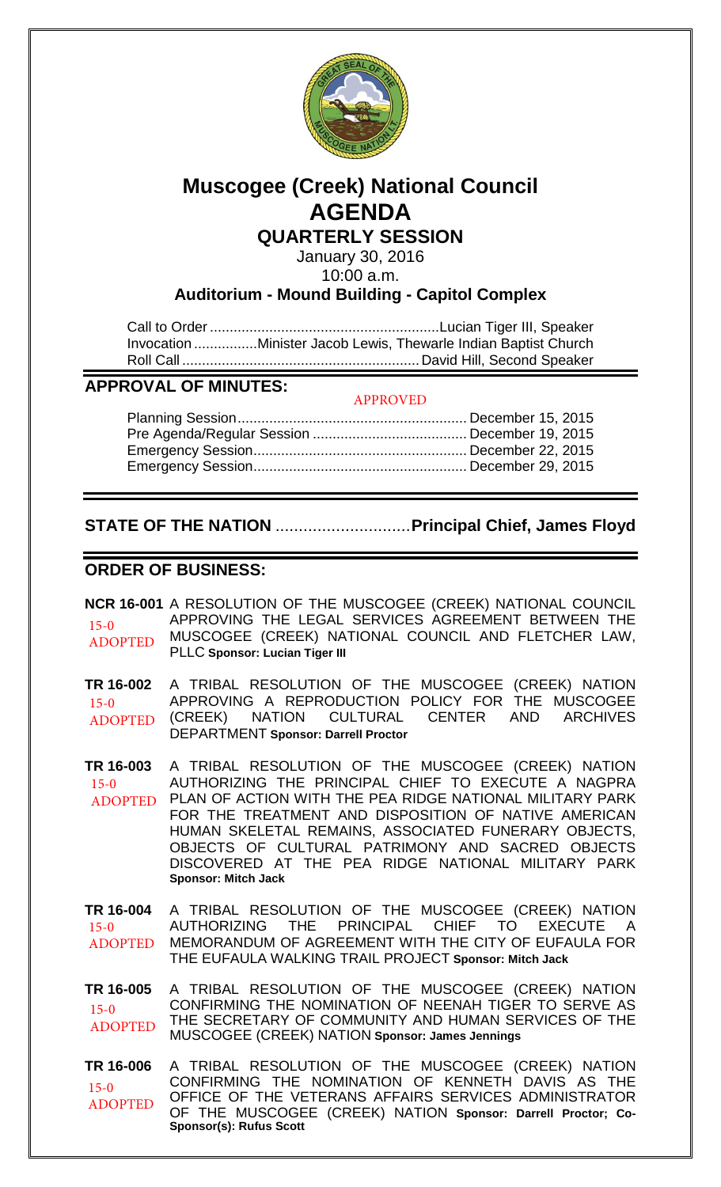

# **Muscogee (Creek) National Council AGENDA**

**QUARTERLY SESSION**

January 30, 2016 10:00 a.m.

# **Auditorium - Mound Building - Capitol Complex**

Call to Order .......................................................... Lucian Tiger III, Speaker Invocation ................ Minister Jacob Lewis, Thewarle Indian Baptist Church Roll Call ............................................................ David Hill, Second Speaker

## **APPROVAL OF MINUTES:**

#### APPROVED

# **STATE OF THE NATION** .............................**Principal Chief, James Floyd**

## **ORDER OF BUSINESS:**

**NCR 16-001** A RESOLUTION OF THE MUSCOGEE (CREEK) NATIONAL COUNCIL APPROVING THE LEGAL SERVICES AGREEMENT BETWEEN THE MUSCOGEE (CREEK) NATIONAL COUNCIL AND FLETCHER LAW, PLLC **Sponsor: Lucian Tiger III** 15-0 ADOPTED

**TR 16-002** A TRIBAL RESOLUTION OF THE MUSCOGEE (CREEK) NATION APPROVING A REPRODUCTION POLICY FOR THE MUSCOGEE (CREEK) NATION CULTURAL CENTER AND ARCHIVES DEPARTMENT **Sponsor: Darrell Proctor** 15-0 ADOPTED

**TR 16-003** A TRIBAL RESOLUTION OF THE MUSCOGEE (CREEK) NATION AUTHORIZING THE PRINCIPAL CHIEF TO EXECUTE A NAGPRA PLAN OF ACTION WITH THE PEA RIDGE NATIONAL MILITARY PARK FOR THE TREATMENT AND DISPOSITION OF NATIVE AMERICAN HUMAN SKELETAL REMAINS, ASSOCIATED FUNERARY OBJECTS, OBJECTS OF CULTURAL PATRIMONY AND SACRED OBJECTS DISCOVERED AT THE PEA RIDGE NATIONAL MILITARY PARK **Sponsor: Mitch Jack**  $15-0$ ADOPTED

**TR 16-004** A TRIBAL RESOLUTION OF THE MUSCOGEE (CREEK) NATION AUTHORIZING THE PRINCIPAL CHIEF TO EXECUTE A MEMORANDUM OF AGREEMENT WITH THE CITY OF EUFAULA FOR THE EUFAULA WALKING TRAIL PROJECT **Sponsor: Mitch Jack**  $15-0$ ADOPTED

**TR 16-005** A TRIBAL RESOLUTION OF THE MUSCOGEE (CREEK) NATION CONFIRMING THE NOMINATION OF NEENAH TIGER TO SERVE AS THE SECRETARY OF COMMUNITY AND HUMAN SERVICES OF THE MUSCOGEE (CREEK) NATION **Sponsor: James Jennings** 15-0 ADOPTED

**TR 16-006** A TRIBAL RESOLUTION OF THE MUSCOGEE (CREEK) NATION CONFIRMING THE NOMINATION OF KENNETH DAVIS AS THE OFFICE OF THE VETERANS AFFAIRS SERVICES ADMINISTRATOR OF THE MUSCOGEE (CREEK) NATION **Sponsor: Darrell Proctor; Co-Sponsor(s): Rufus Scott** 15-0 ADOPTED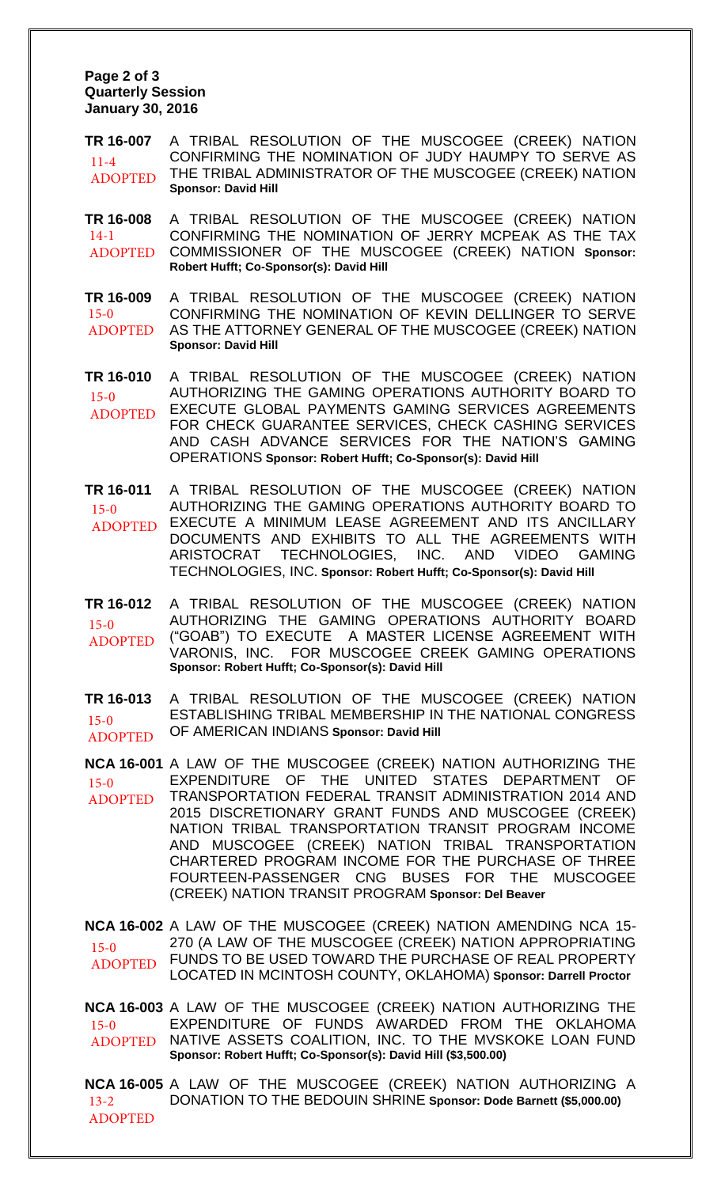#### **Page 2 of 3 Quarterly Session January 30, 2016**

**TR 16-007** A TRIBAL RESOLUTION OF THE MUSCOGEE (CREEK) NATION CONFIRMING THE NOMINATION OF JUDY HAUMPY TO SERVE AS THE TRIBAL ADMINISTRATOR OF THE MUSCOGEE (CREEK) NATION **Sponsor: David Hill** 11-4 ADOPTED

**TR 16-008** A TRIBAL RESOLUTION OF THE MUSCOGEE (CREEK) NATION CONFIRMING THE NOMINATION OF JERRY MCPEAK AS THE TAX COMMISSIONER OF THE MUSCOGEE (CREEK) NATION **Sponsor: Robert Hufft; Co-Sponsor(s): David Hill** 14-1 ADOPTED

**TR 16-009** A TRIBAL RESOLUTION OF THE MUSCOGEE (CREEK) NATION CONFIRMING THE NOMINATION OF KEVIN DELLINGER TO SERVE AS THE ATTORNEY GENERAL OF THE MUSCOGEE (CREEK) NATION **Sponsor: David Hill** 15-0 ADOPTED

**TR 16-010** A TRIBAL RESOLUTION OF THE MUSCOGEE (CREEK) NATION AUTHORIZING THE GAMING OPERATIONS AUTHORITY BOARD TO EXECUTE GLOBAL PAYMENTS GAMING SERVICES AGREEMENTS FOR CHECK GUARANTEE SERVICES, CHECK CASHING SERVICES AND CASH ADVANCE SERVICES FOR THE NATION'S GAMING OPERATIONS **Sponsor: Robert Hufft; Co-Sponsor(s): David Hill** 15-0 ADOPTED

**TR 16-011** A TRIBAL RESOLUTION OF THE MUSCOGEE (CREEK) NATION AUTHORIZING THE GAMING OPERATIONS AUTHORITY BOARD TO EXECUTE A MINIMUM LEASE AGREEMENT AND ITS ANCILLARY DOCUMENTS AND EXHIBITS TO ALL THE AGREEMENTS WITH ARISTOCRAT TECHNOLOGIES, INC. AND VIDEO GAMING TECHNOLOGIES, INC. **Sponsor: Robert Hufft; Co-Sponsor(s): David Hill** 15-0 ADOPTED

**TR 16-012** A TRIBAL RESOLUTION OF THE MUSCOGEE (CREEK) NATION AUTHORIZING THE GAMING OPERATIONS AUTHORITY BOARD ("GOAB") TO EXECUTE A MASTER LICENSE AGREEMENT WITH VARONIS, INC. FOR MUSCOGEE CREEK GAMING OPERATIONS **Sponsor: Robert Hufft; Co-Sponsor(s): David Hill**  $15-0$ ADOPTED

**TR 16-013** A TRIBAL RESOLUTION OF THE MUSCOGEE (CREEK) NATION ESTABLISHING TRIBAL MEMBERSHIP IN THE NATIONAL CONGRESS OF AMERICAN INDIANS **Sponsor: David Hill** 15-0 ADOPTED

**NCA 16-001** A LAW OF THE MUSCOGEE (CREEK) NATION AUTHORIZING THE EXPENDITURE OF THE UNITED STATES DEPARTMENT OF TRANSPORTATION FEDERAL TRANSIT ADMINISTRATION 2014 AND 2015 DISCRETIONARY GRANT FUNDS AND MUSCOGEE (CREEK) NATION TRIBAL TRANSPORTATION TRANSIT PROGRAM INCOME AND MUSCOGEE (CREEK) NATION TRIBAL TRANSPORTATION CHARTERED PROGRAM INCOME FOR THE PURCHASE OF THREE FOURTEEN-PASSENGER CNG BUSES FOR THE MUSCOGEE (CREEK) NATION TRANSIT PROGRAM **Sponsor: Del Beaver**  15-0 ADOPTED

**NCA 16-002** A LAW OF THE MUSCOGEE (CREEK) NATION AMENDING NCA 15- 270 (A LAW OF THE MUSCOGEE (CREEK) NATION APPROPRIATING FUNDS TO BE USED TOWARD THE PURCHASE OF REAL PROPERTY LOCATED IN MCINTOSH COUNTY, OKLAHOMA) **Sponsor: Darrell Proctor**  $15-0$ ADOPTED

**NCA 16-003** A LAW OF THE MUSCOGEE (CREEK) NATION AUTHORIZING THE EXPENDITURE OF FUNDS AWARDED FROM THE OKLAHOMA NATIVE ASSETS COALITION, INC. TO THE MVSKOKE LOAN FUND **Sponsor: Robert Hufft; Co-Sponsor(s): David Hill (\$3,500.00)** 15-0 ADOPTED

**NCA 16-005** A LAW OF THE MUSCOGEE (CREEK) NATION AUTHORIZING A DONATION TO THE BEDOUIN SHRINE **Sponsor: Dode Barnett (\$5,000.00)** 13-2 ADOPTED